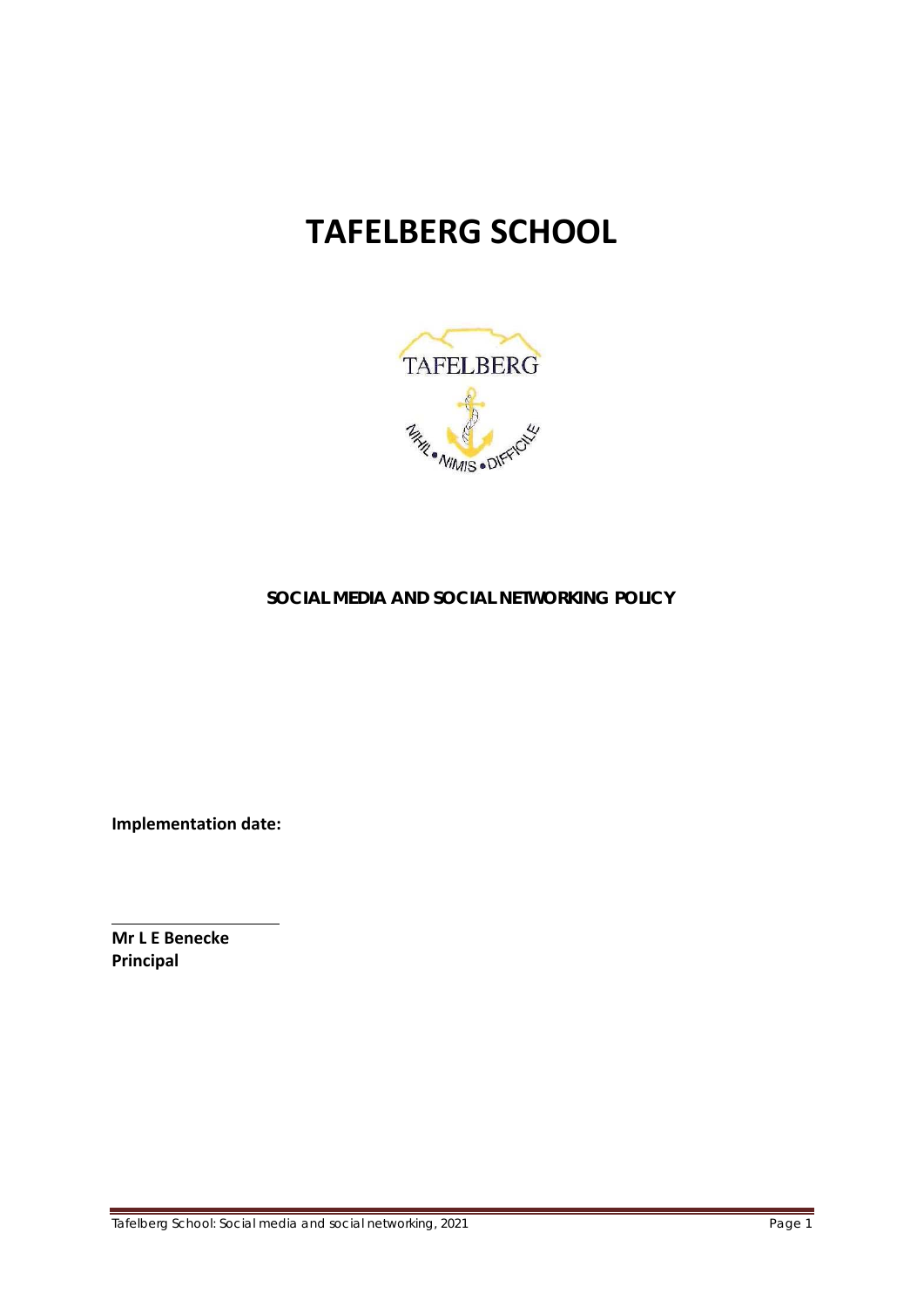# **TAFELBERG SCHOOL**



## **SOCIAL MEDIA AND SOCIAL NETWORKING POLICY**

**Implementation date:** 

**Mr L E Benecke Principal**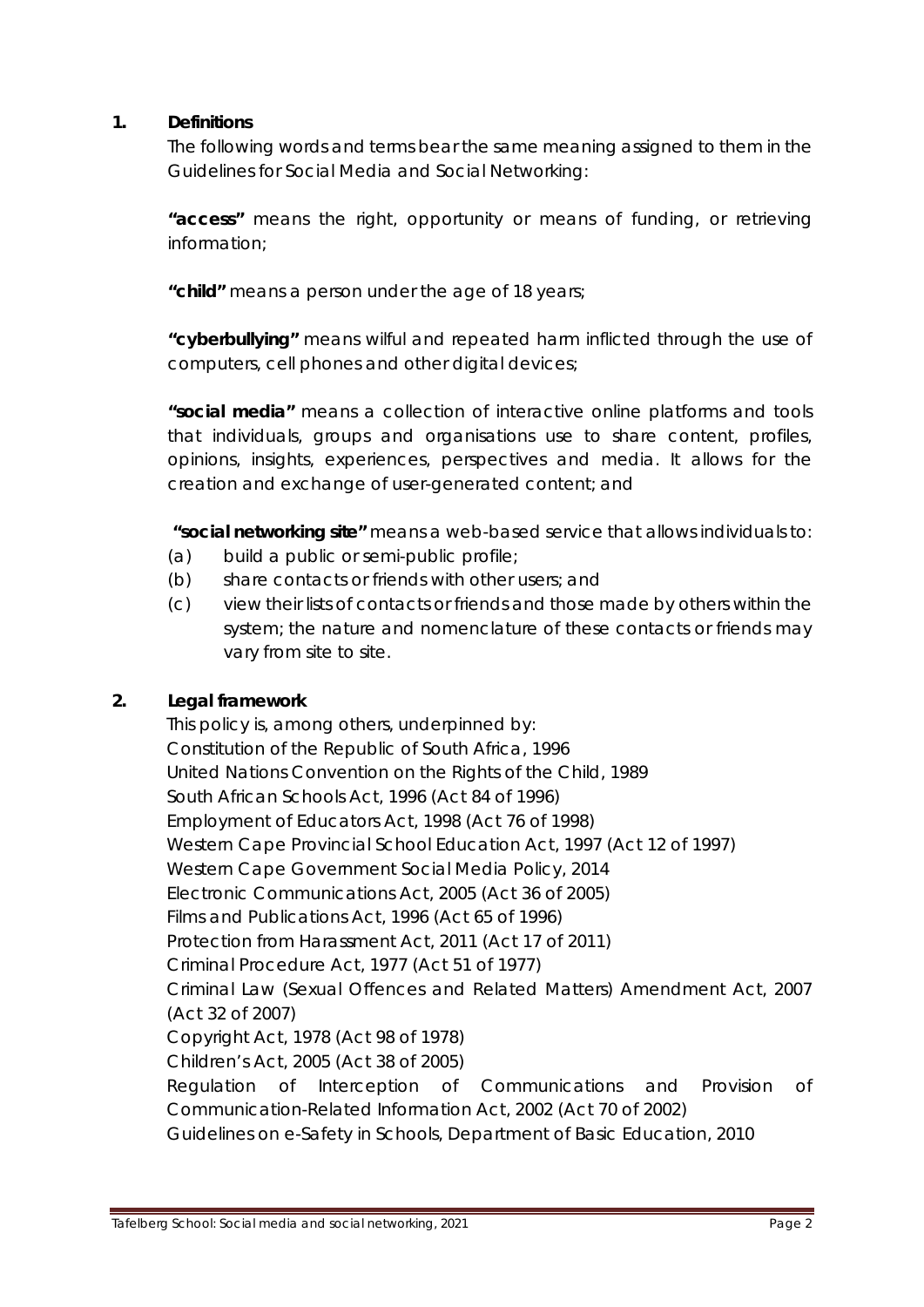#### **1. Definitions**

The following words and terms bear the same meaning assigned to them in the Guidelines for Social Media and Social Networking:

**"access"** means the right, opportunity or means of funding, or retrieving information;

**"child"** means a person under the age of 18 years;

**"cyberbullying"** means wilful and repeated harm inflicted through the use of computers, cell phones and other digital devices;

**"social media"** means a collection of interactive online platforms and tools that individuals, groups and organisations use to share content, profiles, opinions, insights, experiences, perspectives and media. It allows for the creation and exchange of user-generated content; and

 **"social networking site"** means a web-based service that allows individuals to:

- (a) build a public or semi-public profile;
- (b) share contacts or friends with other users; and
- (c) view their lists of contacts or friends and those made by others within the system; the nature and nomenclature of these contacts or friends may vary from site to site.

## **2. Legal framework**

This policy is, among others, underpinned by: Constitution of the Republic of South Africa, 1996 United Nations Convention on the Rights of the Child, 1989 South African Schools Act, 1996 (Act 84 of 1996) Employment of Educators Act, 1998 (Act 76 of 1998) Western Cape Provincial School Education Act, 1997 (Act 12 of 1997) Western Cape Government Social Media Policy, 2014 Electronic Communications Act, 2005 (Act 36 of 2005) Films and Publications Act, 1996 (Act 65 of 1996) Protection from Harassment Act, 2011 (Act 17 of 2011) Criminal Procedure Act, 1977 (Act 51 of 1977) Criminal Law (Sexual Offences and Related Matters) Amendment Act, 2007 (Act 32 of 2007) Copyright Act, 1978 (Act 98 of 1978) Children's Act, 2005 (Act 38 of 2005) Regulation of Interception of Communications and Provision of Communication-Related Information Act, 2002 (Act 70 of 2002) Guidelines on e-Safety in Schools, Department of Basic Education, 2010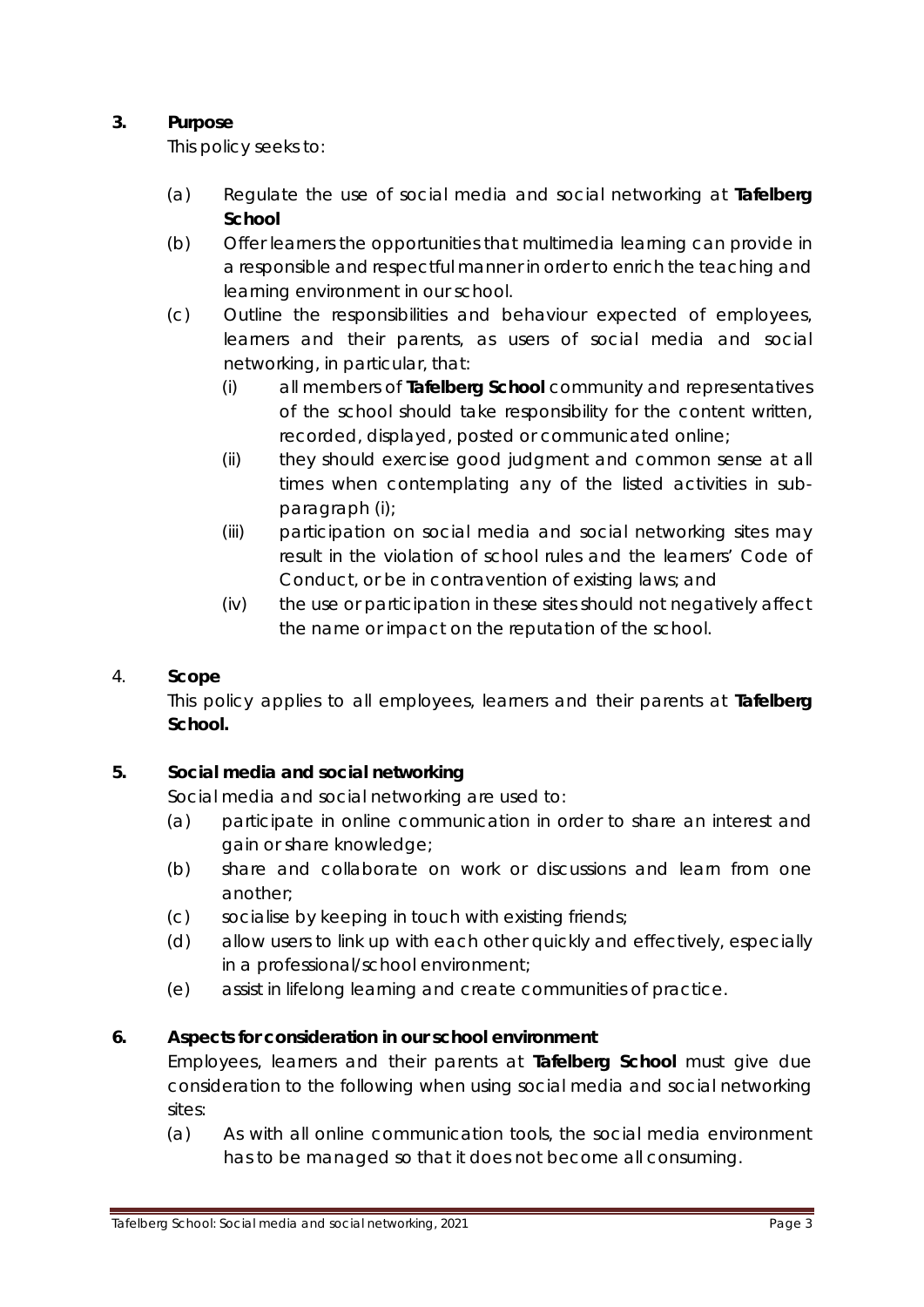## **3. Purpose**

This policy seeks to:

- (a) Regulate the use of social media and social networking at **Tafelberg School**
- (b) Offer learners the opportunities that multimedia learning can provide in a responsible and respectful manner in order to enrich the teaching and learning environment in our school.
- (c) Outline the responsibilities and behaviour expected of employees, learners and their parents, as users of social media and social networking, in particular, that:
	- (i) all members of **Tafelberg School** community and representatives of the school should take responsibility for the content written, recorded, displayed, posted or communicated online;
	- (ii) they should exercise good judgment and common sense at all times when contemplating any of the listed activities in subparagraph (i);
	- (iii) participation on social media and social networking sites may result in the violation of school rules and the learners' Code of Conduct, or be in contravention of existing laws; and
	- (iv) the use or participation in these sites should not negatively affect the name or impact on the reputation of the school.

## 4. **Scope**

This policy applies to all employees, learners and their parents at **Tafelberg School.**

## **5. Social media and social networking**

Social media and social networking are used to:

- (a) participate in online communication in order to share an interest and gain or share knowledge;
- (b) share and collaborate on work or discussions and learn from one another;
- (c) socialise by keeping in touch with existing friends;
- (d) allow users to link up with each other quickly and effectively, especially in a professional/school environment;
- (e) assist in lifelong learning and create communities of practice.

## **6. Aspects for consideration in our school environment**

Employees, learners and their parents at **Tafelberg School** must give due consideration to the following when using social media and social networking sites:

(a) As with all online communication tools, the social media environment has to be managed so that it does not become all consuming.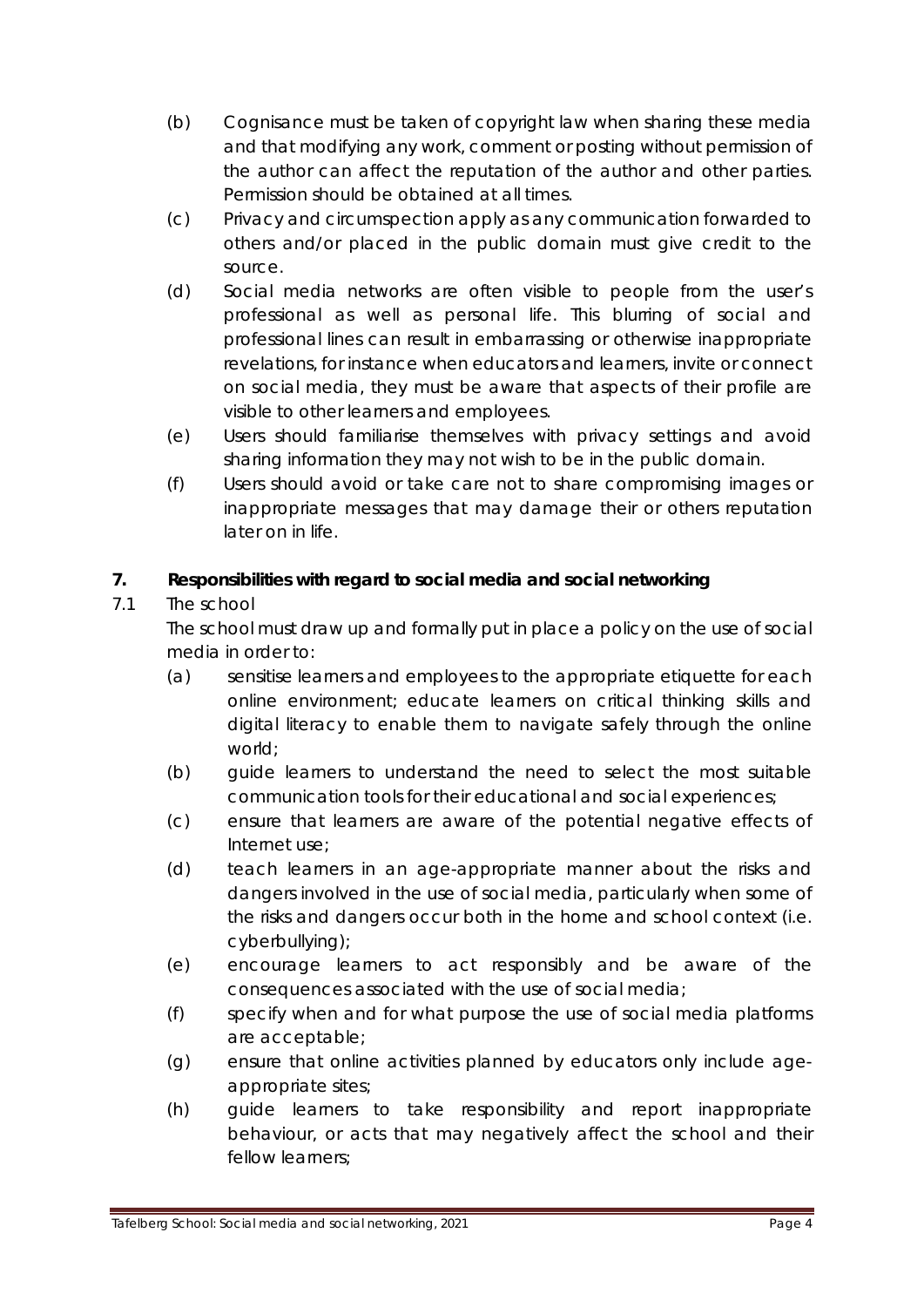- (b) Cognisance must be taken of copyright law when sharing these media and that modifying any work, comment or posting without permission of the author can affect the reputation of the author and other parties. Permission should be obtained at all times.
- (c) Privacy and circumspection apply as any communication forwarded to others and/or placed in the public domain must give credit to the source.
- (d) Social media networks are often visible to people from the user's professional as well as personal life. This blurring of social and professional lines can result in embarrassing or otherwise inappropriate revelations, for instance when educators and learners, invite or connect on social media, they must be aware that aspects of their profile are visible to other learners and employees.
- (e) Users should familiarise themselves with privacy settings and avoid sharing information they may not wish to be in the public domain.
- (f) Users should avoid or take care not to share compromising images or inappropriate messages that may damage their or others reputation later on in life.

## **7. Responsibilities with regard to social media and social networking**

## 7.1 The school

The school must draw up and formally put in place a policy on the use of social media in order to:

- (a) sensitise learners and employees to the appropriate etiquette for each online environment; educate learners on critical thinking skills and digital literacy to enable them to navigate safely through the online world;
- (b) guide learners to understand the need to select the most suitable communication tools for their educational and social experiences;
- (c) ensure that learners are aware of the potential negative effects of Internet use;
- (d) teach learners in an age-appropriate manner about the risks and dangers involved in the use of social media, particularly when some of the risks and dangers occur both in the home and school context (i.e. cyberbullying);
- (e) encourage learners to act responsibly and be aware of the consequences associated with the use of social media;
- (f) specify when and for what purpose the use of social media platforms are acceptable;
- (g) ensure that online activities planned by educators only include ageappropriate sites;
- (h) guide learners to take responsibility and report inappropriate behaviour, or acts that may negatively affect the school and their fellow learners;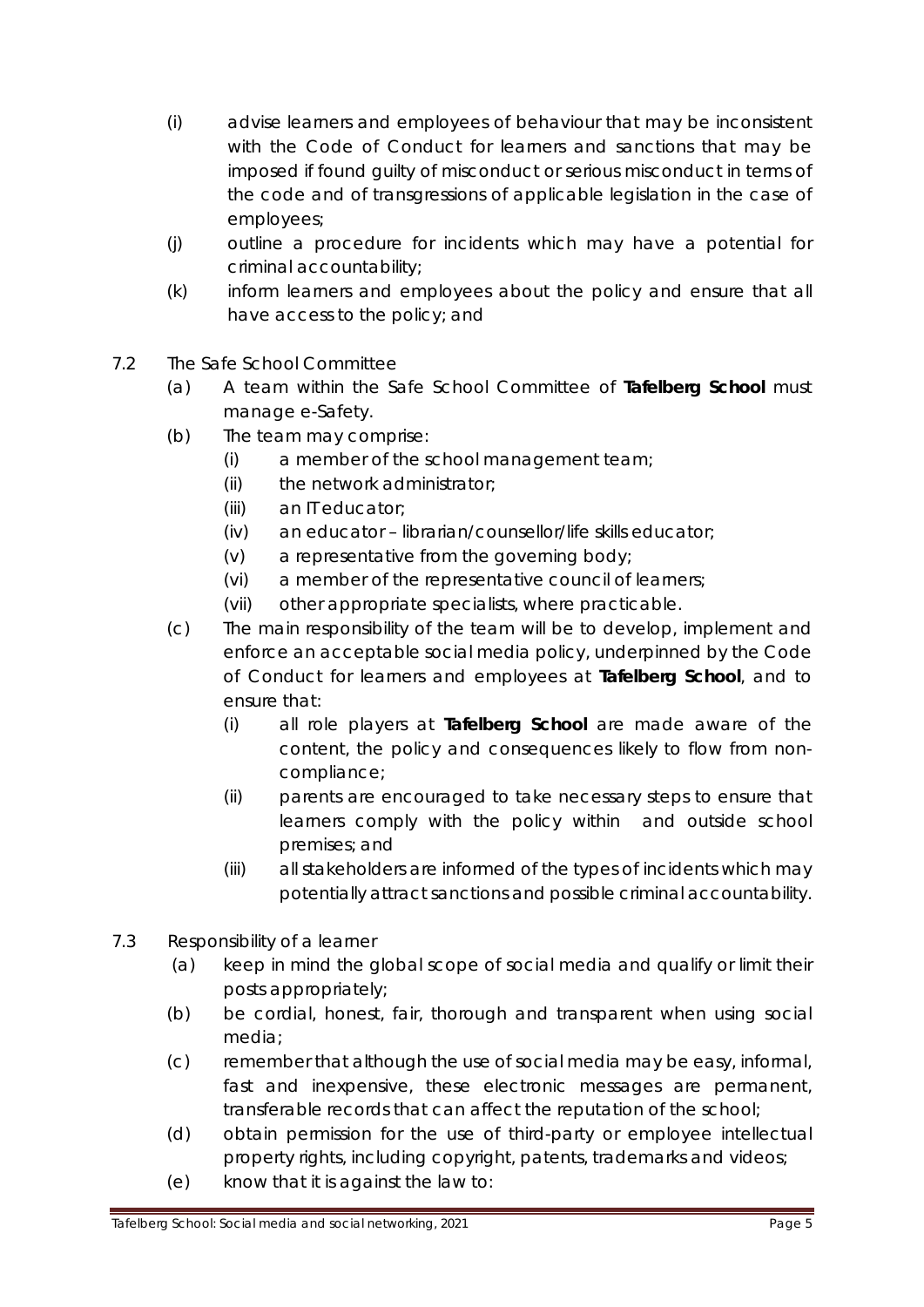- (i) advise learners and employees of behaviour that may be inconsistent with the Code of Conduct for learners and sanctions that may be imposed if found guilty of misconduct or serious misconduct in terms of the code and of transgressions of applicable legislation in the case of employees;
- (j) outline a procedure for incidents which may have a potential for criminal accountability;
- (k) inform learners and employees about the policy and ensure that all have access to the policy; and
- 7.2 The Safe School Committee
	- (a) A team within the Safe School Committee of **Tafelberg School** must manage e-Safety.
	- (b) The team may comprise:
		- (i) a member of the school management team;
		- (ii) the network administrator;
		- (iii) an IT educator;
		- (iv) an educator librarian/counsellor/life skills educator;
		- (v) a representative from the governing body;
		- (vi) a member of the representative council of learners;
		- (vii) other appropriate specialists, where practicable.
	- (c) The main responsibility of the team will be to develop, implement and enforce an acceptable social media policy, underpinned by the Code of Conduct for learners and employees at **Tafelberg School**, and to ensure that:
		- (i) all role players at **Tafelberg School** are made aware of the content, the policy and consequences likely to flow from noncompliance;
		- (ii) parents are encouraged to take necessary steps to ensure that learners comply with the policy within and outside school premises; and
		- (iii) all stakeholders are informed of the types of incidents which may potentially attract sanctions and possible criminal accountability.
- 7.3 Responsibility of a learner
	- (a) keep in mind the global scope of social media and qualify or limit their posts appropriately;
	- (b) be cordial, honest, fair, thorough and transparent when using social media;
	- (c) remember that although the use of social media may be easy, informal, fast and inexpensive, these electronic messages are permanent, transferable records that can affect the reputation of the school;
	- (d) obtain permission for the use of third-party or employee intellectual property rights, including copyright, patents, trademarks and videos;
	- (e) know that it is against the law to: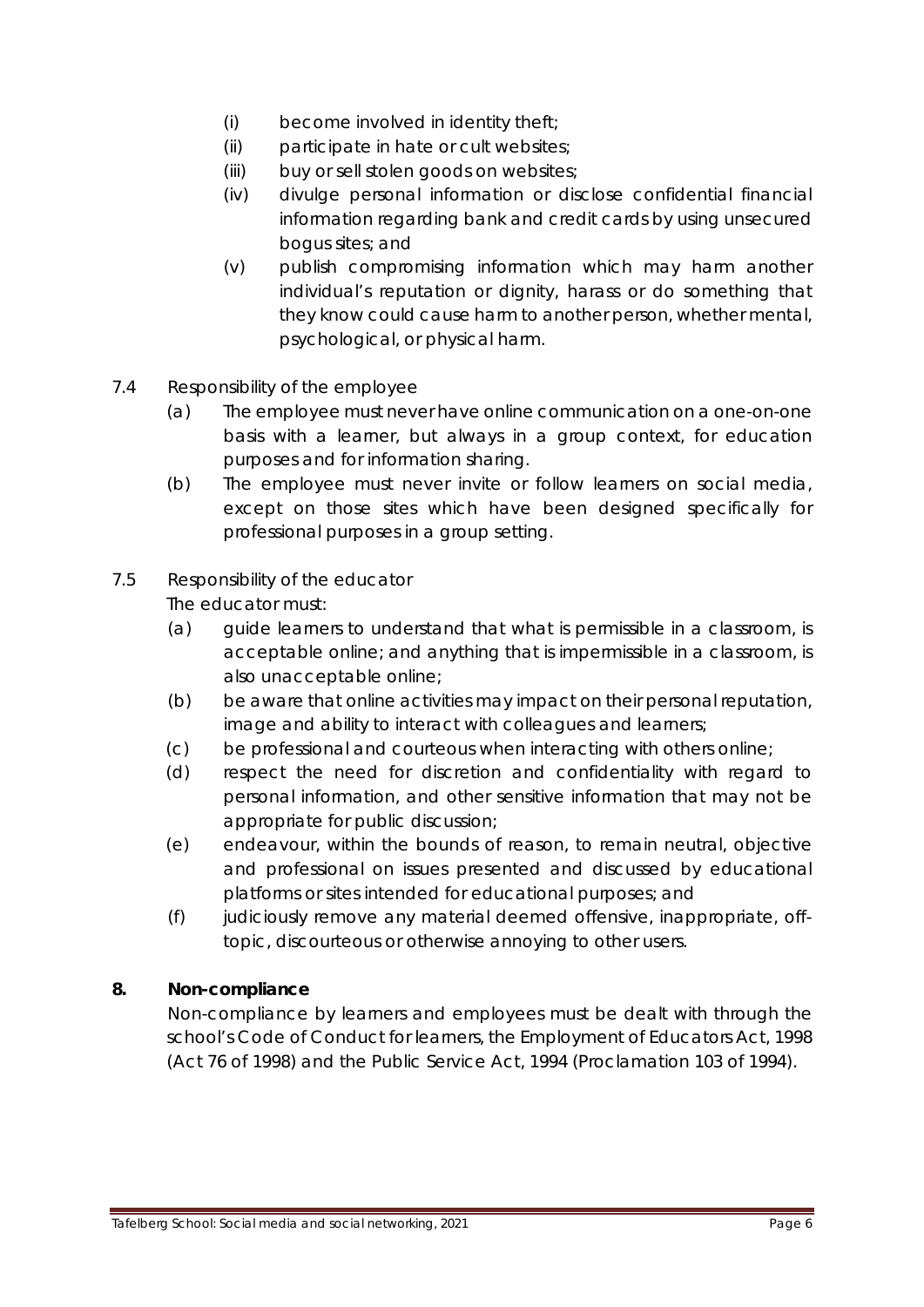- (i) become involved in identity theft;
- (ii) participate in hate or cult websites;
- (iii) buy or sell stolen goods on websites;
- (iv) divulge personal information or disclose confidential financial information regarding bank and credit cards by using unsecured bogus sites; and
- (v) publish compromising information which may harm another individual's reputation or dignity, harass or do something that they know could cause harm to another person, whether mental, psychological, or physical harm.
- 7.4 Responsibility of the employee
	- (a) The employee must never have online communication on a one-on-one basis with a learner, but always in a group context, for education purposes and for information sharing.
	- (b) The employee must never invite or follow learners on social media, except on those sites which have been designed specifically for professional purposes in a group setting.

## 7.5 Responsibility of the educator

The educator must:

- (a) guide learners to understand that what is permissible in a classroom, is acceptable online; and anything that is impermissible in a classroom, is also unacceptable online;
- (b) be aware that online activities may impact on their personal reputation, image and ability to interact with colleagues and learners;
- (c) be professional and courteous when interacting with others online;
- (d) respect the need for discretion and confidentiality with regard to personal information, and other sensitive information that may not be appropriate for public discussion;
- (e) endeavour, within the bounds of reason, to remain neutral, objective and professional on issues presented and discussed by educational platforms or sites intended for educational purposes; and
- (f) judiciously remove any material deemed offensive, inappropriate, offtopic, discourteous or otherwise annoying to other users.

## **8. Non-compliance**

Non-compliance by learners and employees must be dealt with through the school's Code of Conduct for learners, the Employment of Educators Act, 1998 (Act 76 of 1998) and the Public Service Act, 1994 (Proclamation 103 of 1994).